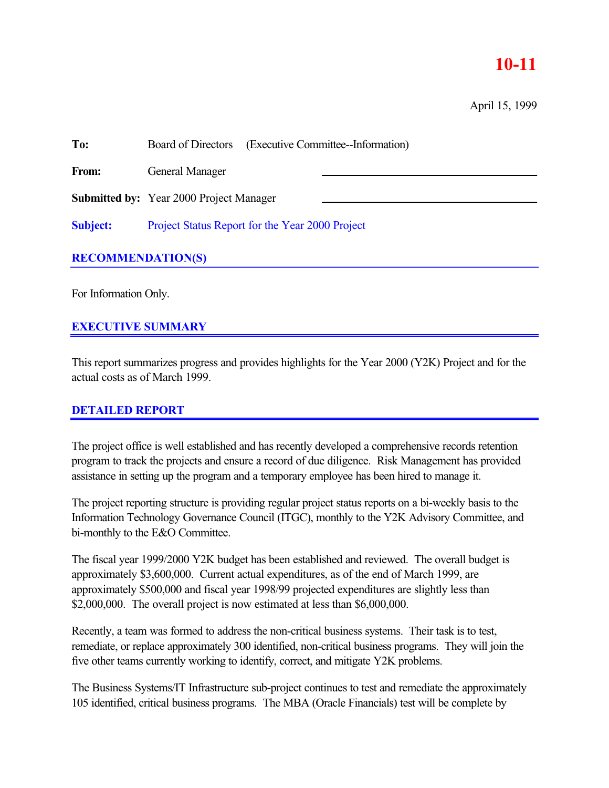## **10-11**

April 15, 1999

| To:             | (Executive Committee-Information)<br>Board of Directors |
|-----------------|---------------------------------------------------------|
| From:           | General Manager                                         |
|                 | <b>Submitted by:</b> Year 2000 Project Manager          |
| <b>Subject:</b> | Project Status Report for the Year 2000 Project         |
|                 |                                                         |

## **RECOMMENDATION(S)**

For Information Only.

## **EXECUTIVE SUMMARY**

This report summarizes progress and provides highlights for the Year 2000 (Y2K) Project and for the actual costs as of March 1999.

## **DETAILED REPORT**

The project office is well established and has recently developed a comprehensive records retention program to track the projects and ensure a record of due diligence. Risk Management has provided assistance in setting up the program and a temporary employee has been hired to manage it.

The project reporting structure is providing regular project status reports on a bi-weekly basis to the Information Technology Governance Council (ITGC), monthly to the Y2K Advisory Committee, and bi-monthly to the E&O Committee.

The fiscal year 1999/2000 Y2K budget has been established and reviewed. The overall budget is approximately \$3,600,000. Current actual expenditures, as of the end of March 1999, are approximately \$500,000 and fiscal year 1998/99 projected expenditures are slightly less than \$2,000,000. The overall project is now estimated at less than \$6,000,000.

Recently, a team was formed to address the non-critical business systems. Their task is to test, remediate, or replace approximately 300 identified, non-critical business programs. They will join the five other teams currently working to identify, correct, and mitigate Y2K problems.

The Business Systems/IT Infrastructure sub-project continues to test and remediate the approximately 105 identified, critical business programs. The MBA (Oracle Financials) test will be complete by